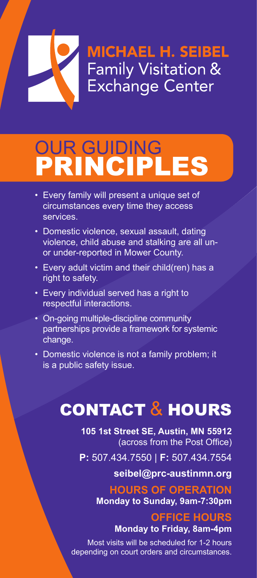# **MICHAEL H. SEIBEL** Family Visitation & Exchange Center

# OUR GUIDING PRINCIPLES

- Every family will present a unique set of circumstances every time they access services.
- Domestic violence, sexual assault, dating violence, child abuse and stalking are all unor under-reported in Mower County.
- Every adult victim and their child(ren) has a right to safety.
- Every individual served has a right to respectful interactions.
- On-going multiple-discipline community partnerships provide a framework for systemic change.
- Domestic violence is not a family problem; it is a public safety issue.

## CONTACT & HOURS

**105 1st Street SE, Austin, MN 55912** (across from the Post Office)

**P:** 507.434.7550 | **F:** 507.434.7554

**seibel@prc-austinmn.org**

#### **HOURS OF OPERATION**

**Monday to Sunday, 9am-7:30pm**

#### **OFFICE HOURS Monday to Friday, 8am-4pm**

Most visits will be scheduled for 1-2 hours depending on court orders and circumstances.